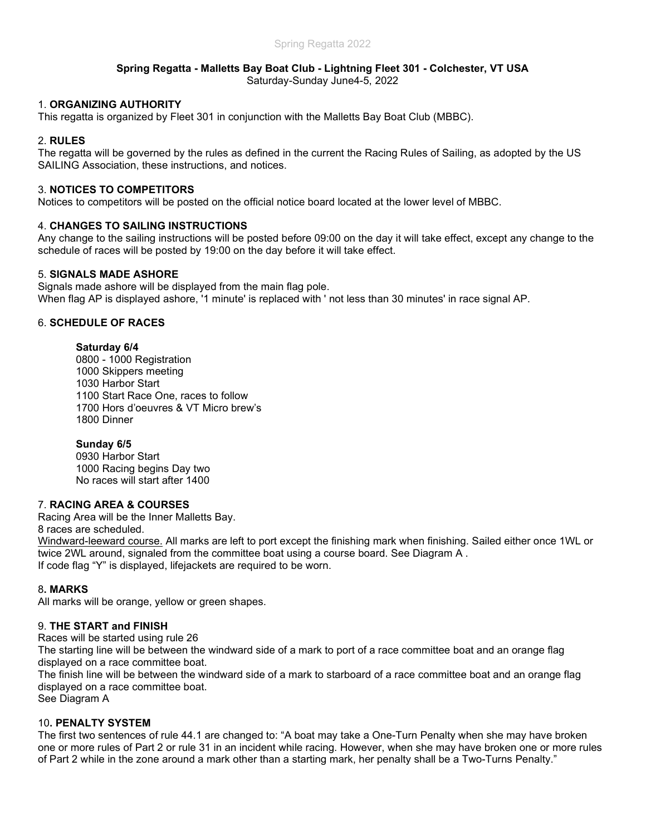### Spring Regatta - Malletts Bay Boat Club - Lightning Fleet 301 - Colchester, VT USA Saturday-Sunday June4-5, 2022

# 1. ORGANIZING AUTHORITY

This regatta is organized by Fleet 301 in conjunction with the Malletts Bay Boat Club (MBBC).

# 2. RULES

The regatta will be governed by the rules as defined in the current the Racing Rules of Sailing, as adopted by the US SAILING Association, these instructions, and notices.

## 3. NOTICES TO COMPETITORS

Notices to competitors will be posted on the official notice board located at the lower level of MBBC.

# 4. CHANGES TO SAILING INSTRUCTIONS

Any change to the sailing instructions will be posted before 09:00 on the day it will take effect, except any change to the schedule of races will be posted by 19:00 on the day before it will take effect.

# 5. SIGNALS MADE ASHORE

Signals made ashore will be displayed from the main flag pole. When flag AP is displayed ashore, '1 minute' is replaced with ' not less than 30 minutes' in race signal AP.

# 6. SCHEDULE OF RACES

## Saturday 6/4

0800 - 1000 Registration 1000 Skippers meeting 1030 Harbor Start 1100 Start Race One, races to follow 1700 Hors d'oeuvres & VT Micro brew's 1800 Dinner

## Sunday 6/5

0930 Harbor Start 1000 Racing begins Day two No races will start after 1400

# 7. RACING AREA & COURSES

Racing Area will be the Inner Malletts Bay.

8 races are scheduled.

Windward-leeward course. All marks are left to port except the finishing mark when finishing. Sailed either once 1WL or twice 2WL around, signaled from the committee boat using a course board. See Diagram A . If code flag "Y" is displayed, lifejackets are required to be worn.

## 8. MARKS

All marks will be orange, yellow or green shapes.

## 9. THE START and FINISH

Races will be started using rule 26

The starting line will be between the windward side of a mark to port of a race committee boat and an orange flag displayed on a race committee boat.

The finish line will be between the windward side of a mark to starboard of a race committee boat and an orange flag displayed on a race committee boat. See Diagram A

## 10. PENALTY SYSTEM

The first two sentences of rule 44.1 are changed to: "A boat may take a One-Turn Penalty when she may have broken one or more rules of Part 2 or rule 31 in an incident while racing. However, when she may have broken one or more rules of Part 2 while in the zone around a mark other than a starting mark, her penalty shall be a Two-Turns Penalty."